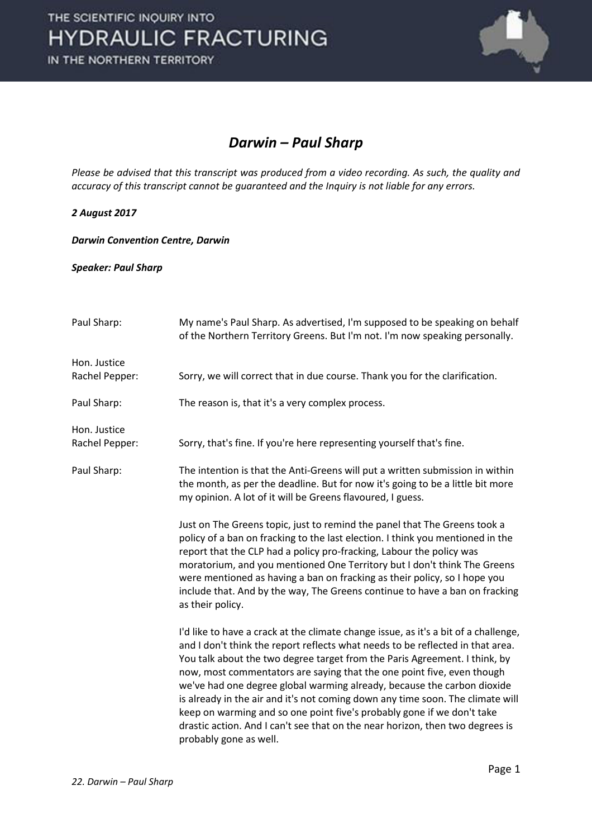

#### *Darwin – Paul Sharp*

*Please be advised that this transcript was produced from a video recording. As such, the quality and accuracy of this transcript cannot be guaranteed and the Inquiry is not liable for any errors.*

*2 August 2017* 

*Darwin Convention Centre, Darwin* 

*Speaker: Paul Sharp* 

| Paul Sharp:                    | My name's Paul Sharp. As advertised, I'm supposed to be speaking on behalf<br>of the Northern Territory Greens. But I'm not. I'm now speaking personally.                                                                                                                                                                                                                                                                                                                                                                                                                                                                                                                       |
|--------------------------------|---------------------------------------------------------------------------------------------------------------------------------------------------------------------------------------------------------------------------------------------------------------------------------------------------------------------------------------------------------------------------------------------------------------------------------------------------------------------------------------------------------------------------------------------------------------------------------------------------------------------------------------------------------------------------------|
| Hon. Justice<br>Rachel Pepper: | Sorry, we will correct that in due course. Thank you for the clarification.                                                                                                                                                                                                                                                                                                                                                                                                                                                                                                                                                                                                     |
| Paul Sharp:                    | The reason is, that it's a very complex process.                                                                                                                                                                                                                                                                                                                                                                                                                                                                                                                                                                                                                                |
| Hon. Justice<br>Rachel Pepper: | Sorry, that's fine. If you're here representing yourself that's fine.                                                                                                                                                                                                                                                                                                                                                                                                                                                                                                                                                                                                           |
| Paul Sharp:                    | The intention is that the Anti-Greens will put a written submission in within<br>the month, as per the deadline. But for now it's going to be a little bit more<br>my opinion. A lot of it will be Greens flavoured, I guess.                                                                                                                                                                                                                                                                                                                                                                                                                                                   |
|                                | Just on The Greens topic, just to remind the panel that The Greens took a<br>policy of a ban on fracking to the last election. I think you mentioned in the<br>report that the CLP had a policy pro-fracking, Labour the policy was<br>moratorium, and you mentioned One Territory but I don't think The Greens<br>were mentioned as having a ban on fracking as their policy, so I hope you<br>include that. And by the way, The Greens continue to have a ban on fracking<br>as their policy.                                                                                                                                                                                 |
|                                | I'd like to have a crack at the climate change issue, as it's a bit of a challenge,<br>and I don't think the report reflects what needs to be reflected in that area.<br>You talk about the two degree target from the Paris Agreement. I think, by<br>now, most commentators are saying that the one point five, even though<br>we've had one degree global warming already, because the carbon dioxide<br>is already in the air and it's not coming down any time soon. The climate will<br>keep on warming and so one point five's probably gone if we don't take<br>drastic action. And I can't see that on the near horizon, then two degrees is<br>probably gone as well. |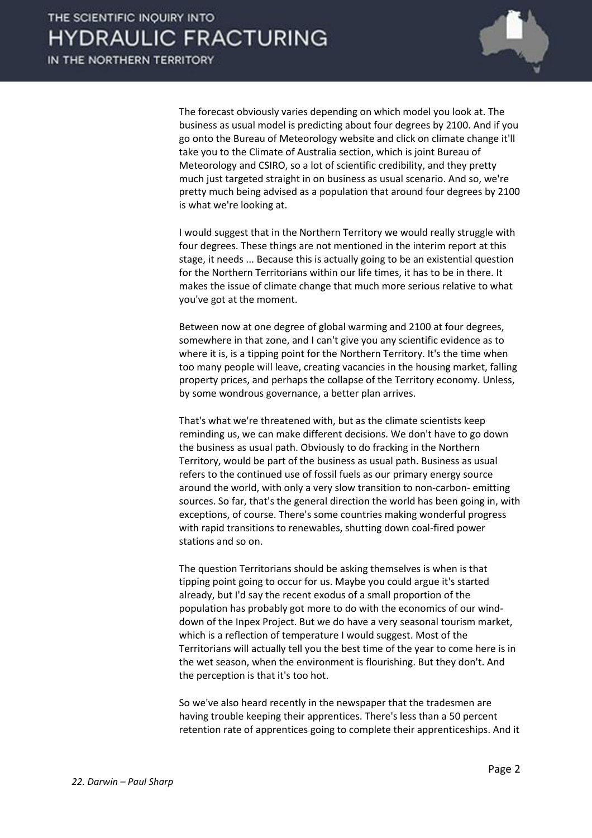

 The forecast obviously varies depending on which model you look at. The business as usual model is predicting about four degrees by 2100. And if you go onto the Bureau of Meteorology website and click on climate change it'll take you to the Climate of Australia section, which is joint Bureau of Meteorology and CSIRO, so a lot of scientific credibility, and they pretty much just targeted straight in on business as usual scenario. And so, we're pretty much being advised as a population that around four degrees by 2100 is what we're looking at.

 I would suggest that in the Northern Territory we would really struggle with four degrees. These things are not mentioned in the interim report at this stage, it needs ... Because this is actually going to be an existential question for the Northern Territorians within our life times, it has to be in there. It makes the issue of climate change that much more serious relative to what you've got at the moment.

 Between now at one degree of global warming and 2100 at four degrees, somewhere in that zone, and I can't give you any scientific evidence as to where it is, is a tipping point for the Northern Territory. It's the time when too many people will leave, creating vacancies in the housing market, falling property prices, and perhaps the collapse of the Territory economy. Unless, by some wondrous governance, a better plan arrives.

 That's what we're threatened with, but as the climate scientists keep reminding us, we can make different decisions. We don't have to go down the business as usual path. Obviously to do fracking in the Northern Territory, would be part of the business as usual path. Business as usual refers to the continued use of fossil fuels as our primary energy source around the world, with only a very slow transition to non-carbon- emitting sources. So far, that's the general direction the world has been going in, with exceptions, of course. There's some countries making wonderful progress with rapid transitions to renewables, shutting down coal-fired power stations and so on.

 The question Territorians should be asking themselves is when is that tipping point going to occur for us. Maybe you could argue it's started already, but I'd say the recent exodus of a small proportion of the population has probably got more to do with the economics of our winddown of the Inpex Project. But we do have a very seasonal tourism market, which is a reflection of temperature I would suggest. Most of the Territorians will actually tell you the best time of the year to come here is in the wet season, when the environment is flourishing. But they don't. And the perception is that it's too hot.

 So we've also heard recently in the newspaper that the tradesmen are having trouble keeping their apprentices. There's less than a 50 percent retention rate of apprentices going to complete their apprenticeships. And it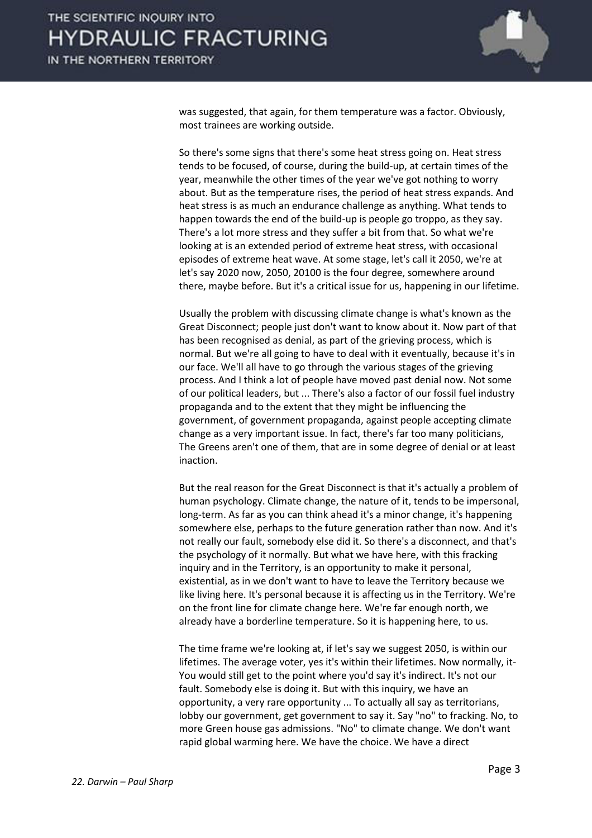

was suggested, that again, for them temperature was a factor. Obviously, most trainees are working outside.

 So there's some signs that there's some heat stress going on. Heat stress tends to be focused, of course, during the build-up, at certain times of the year, meanwhile the other times of the year we've got nothing to worry about. But as the temperature rises, the period of heat stress expands. And heat stress is as much an endurance challenge as anything. What tends to happen towards the end of the build-up is people go troppo, as they say. There's a lot more stress and they suffer a bit from that. So what we're looking at is an extended period of extreme heat stress, with occasional episodes of extreme heat wave. At some stage, let's call it 2050, we're at let's say 2020 now, 2050, 20100 is the four degree, somewhere around there, maybe before. But it's a critical issue for us, happening in our lifetime.

 Usually the problem with discussing climate change is what's known as the Great Disconnect; people just don't want to know about it. Now part of that has been recognised as denial, as part of the grieving process, which is normal. But we're all going to have to deal with it eventually, because it's in our face. We'll all have to go through the various stages of the grieving process. And I think a lot of people have moved past denial now. Not some of our political leaders, but ... There's also a factor of our fossil fuel industry propaganda and to the extent that they might be influencing the government, of government propaganda, against people accepting climate change as a very important issue. In fact, there's far too many politicians, The Greens aren't one of them, that are in some degree of denial or at least inaction.

 But the real reason for the Great Disconnect is that it's actually a problem of human psychology. Climate change, the nature of it, tends to be impersonal, long-term. As far as you can think ahead it's a minor change, it's happening somewhere else, perhaps to the future generation rather than now. And it's not really our fault, somebody else did it. So there's a disconnect, and that's the psychology of it normally. But what we have here, with this fracking inquiry and in the Territory, is an opportunity to make it personal, existential, as in we don't want to have to leave the Territory because we like living here. It's personal because it is affecting us in the Territory. We're on the front line for climate change here. We're far enough north, we already have a borderline temperature. So it is happening here, to us.

 The time frame we're looking at, if let's say we suggest 2050, is within our lifetimes. The average voter, yes it's within their lifetimes. Now normally, it-You would still get to the point where you'd say it's indirect. It's not our fault. Somebody else is doing it. But with this inquiry, we have an opportunity, a very rare opportunity ... To actually all say as territorians, lobby our government, get government to say it. Say "no" to fracking. No, to more Green house gas admissions. "No" to climate change. We don't want rapid global warming here. We have the choice. We have a direct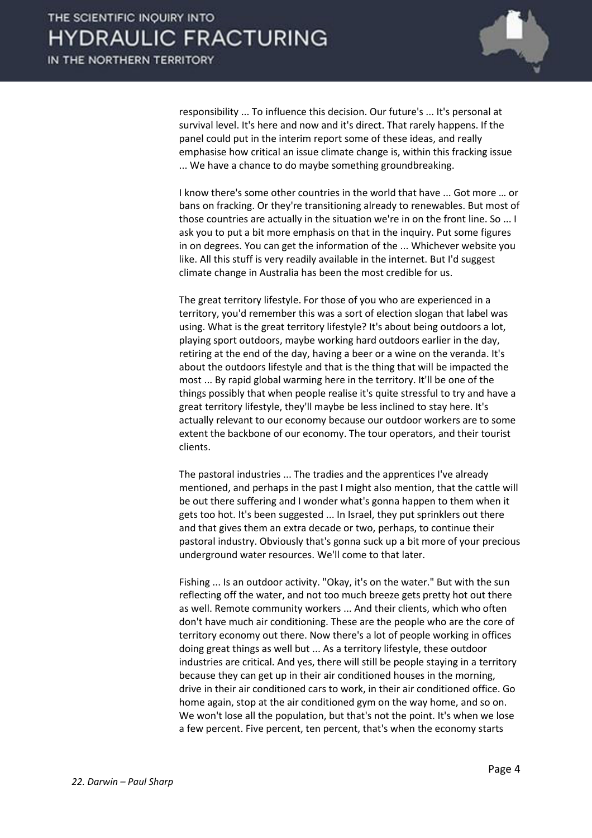

responsibility ... To influence this decision. Our future's ... It's personal at survival level. It's here and now and it's direct. That rarely happens. If the panel could put in the interim report some of these ideas, and really emphasise how critical an issue climate change is, within this fracking issue ... We have a chance to do maybe something groundbreaking.

I know there's some other countries in the world that have ... Got more ... or bans on fracking. Or they're transitioning already to renewables. But most of those countries are actually in the situation we're in on the front line. So ... I ask you to put a bit more emphasis on that in the inquiry. Put some figures in on degrees. You can get the information of the ... Whichever website you like. All this stuff is very readily available in the internet. But I'd suggest climate change in Australia has been the most credible for us.

 The great territory lifestyle. For those of you who are experienced in a territory, you'd remember this was a sort of election slogan that label was using. What is the great territory lifestyle? It's about being outdoors a lot, playing sport outdoors, maybe working hard outdoors earlier in the day, retiring at the end of the day, having a beer or a wine on the veranda. It's about the outdoors lifestyle and that is the thing that will be impacted the most ... By rapid global warming here in the territory. It'll be one of the things possibly that when people realise it's quite stressful to try and have a great territory lifestyle, they'll maybe be less inclined to stay here. It's actually relevant to our economy because our outdoor workers are to some extent the backbone of our economy. The tour operators, and their tourist clients.

 The pastoral industries ... The tradies and the apprentices I've already mentioned, and perhaps in the past I might also mention, that the cattle will be out there suffering and I wonder what's gonna happen to them when it gets too hot. It's been suggested ... In Israel, they put sprinklers out there and that gives them an extra decade or two, perhaps, to continue their pastoral industry. Obviously that's gonna suck up a bit more of your precious underground water resources. We'll come to that later.

 Fishing ... Is an outdoor activity. "Okay, it's on the water." But with the sun reflecting off the water, and not too much breeze gets pretty hot out there as well. Remote community workers ... And their clients, which who often don't have much air conditioning. These are the people who are the core of territory economy out there. Now there's a lot of people working in offices doing great things as well but ... As a territory lifestyle, these outdoor industries are critical. And yes, there will still be people staying in a territory because they can get up in their air conditioned houses in the morning, drive in their air conditioned cars to work, in their air conditioned office. Go home again, stop at the air conditioned gym on the way home, and so on. We won't lose all the population, but that's not the point. It's when we lose a few percent. Five percent, ten percent, that's when the economy starts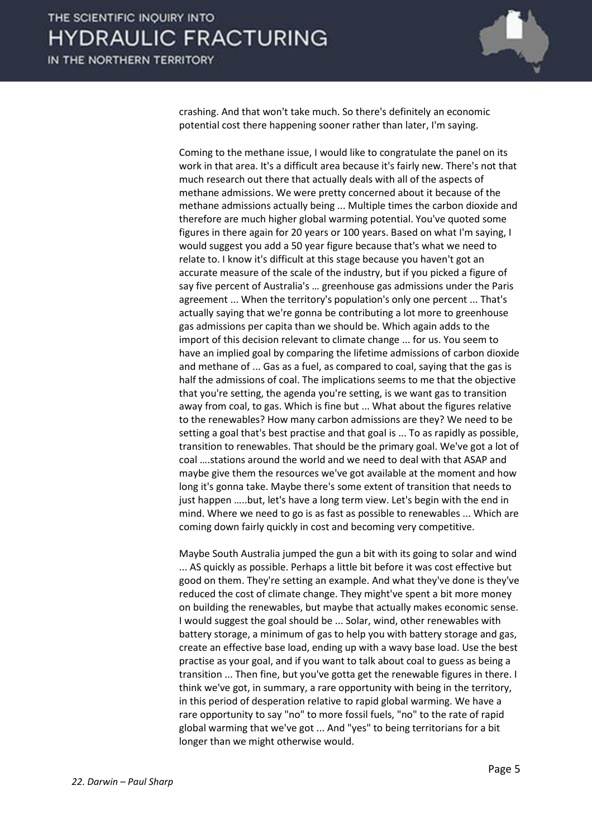

crashing. And that won't take much. So there's definitely an economic potential cost there happening sooner rather than later, I'm saying.

 Coming to the methane issue, I would like to congratulate the panel on its work in that area. It's a difficult area because it's fairly new. There's not that much research out there that actually deals with all of the aspects of methane admissions. We were pretty concerned about it because of the methane admissions actually being ... Multiple times the carbon dioxide and therefore are much higher global warming potential. You've quoted some figures in there again for 20 years or 100 years. Based on what I'm saying, I would suggest you add a 50 year figure because that's what we need to relate to. I know it's difficult at this stage because you haven't got an accurate measure of the scale of the industry, but if you picked a figure of say five percent of Australia's ... greenhouse gas admissions under the Paris agreement ... When the territory's population's only one percent ... That's actually saying that we're gonna be contributing a lot more to greenhouse gas admissions per capita than we should be. Which again adds to the import of this decision relevant to climate change ... for us. You seem to have an implied goal by comparing the lifetime admissions of carbon dioxide and methane of ... Gas as a fuel, as compared to coal, saying that the gas is half the admissions of coal. The implications seems to me that the objective that you're setting, the agenda you're setting, is we want gas to transition away from coal, to gas. Which is fine but ... What about the figures relative to the renewables? How many carbon admissions are they? We need to be setting a goal that's best practise and that goal is ... To as rapidly as possible, transition to renewables. That should be the primary goal. We've got a lot of coal .... stations around the world and we need to deal with that ASAP and maybe give them the resources we've got available at the moment and how long it's gonna take. Maybe there's some extent of transition that needs to just happen …..but, let's have a long term view. Let's begin with the end in mind. Where we need to go is as fast as possible to renewables ... Which are coming down fairly quickly in cost and becoming very competitive.

 Maybe South Australia jumped the gun a bit with its going to solar and wind ... AS quickly as possible. Perhaps a little bit before it was cost effective but good on them. They're setting an example. And what they've done is they've reduced the cost of climate change. They might've spent a bit more money on building the renewables, but maybe that actually makes economic sense. I would suggest the goal should be ... Solar, wind, other renewables with battery storage, a minimum of gas to help you with battery storage and gas, create an effective base load, ending up with a wavy base load. Use the best practise as your goal, and if you want to talk about coal to guess as being a transition ... Then fine, but you've gotta get the renewable figures in there. I think we've got, in summary, a rare opportunity with being in the territory, in this period of desperation relative to rapid global warming. We have a rare opportunity to say "no" to more fossil fuels, "no" to the rate of rapid global warming that we've got ... And "yes" to being territorians for a bit longer than we might otherwise would.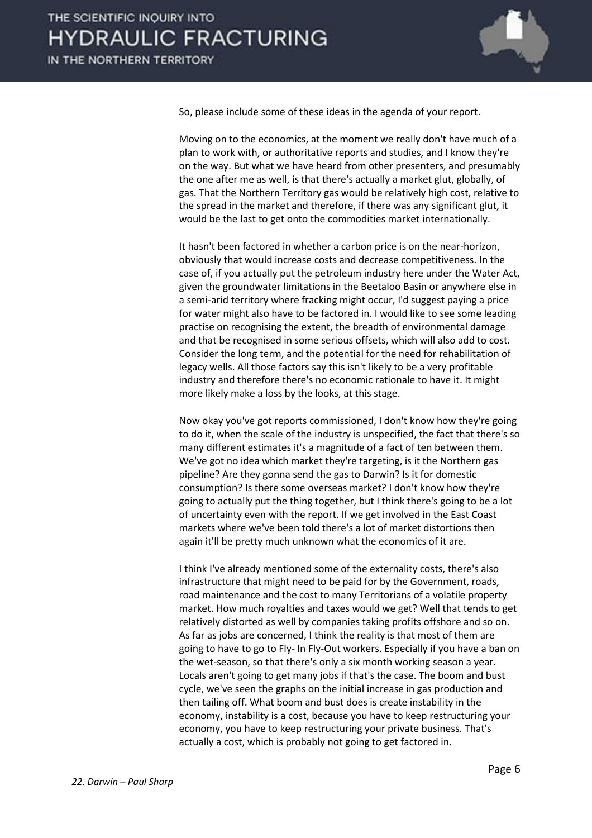

So, please include some of these ideas in the agenda of your report.

 Moving on to the economics, at the moment we really don't have much of a plan to work with, or authoritative reports and studies, and I know they're on the way. But what we have heard from other presenters, and presumably the one after me as well, is that there's actually a market glut, globally, of gas. That the Northern Territory gas would be relatively high cost, relative to the spread in the market and therefore, if there was any significant glut, it would be the last to get onto the commodities market internationally.

 It hasn't been factored in whether a carbon price is on the near-horizon, obviously that would increase costs and decrease competitiveness. In the case of, if you actually put the petroleum industry here under the Water Act, given the groundwater limitations in the Beetaloo Basin or anywhere else in a semi-arid territory where fracking might occur, I'd suggest paying a price for water might also have to be factored in. I would like to see some leading practise on recognising the extent, the breadth of environmental damage and that be recognised in some serious offsets, which will also add to cost. Consider the long term, and the potential for the need for rehabilitation of legacy wells. All those factors say this isn't likely to be a very profitable industry and therefore there's no economic rationale to have it. It might more likely make a loss by the looks, at this stage.

 Now okay you've got reports commissioned, I don't know how they're going to do it, when the scale of the industry is unspecified, the fact that there's so many different estimates it's a magnitude of a fact of ten between them. We've got no idea which market they're targeting, is it the Northern gas pipeline? Are they gonna send the gas to Darwin? Is it for domestic consumption? Is there some overseas market? I don't know how they're going to actually put the thing together, but I think there's going to be a lot of uncertainty even with the report. If we get involved in the East Coast markets where we've been told there's a lot of market distortions then again it'll be pretty much unknown what the economics of it are.

 I think I've already mentioned some of the externality costs, there's also infrastructure that might need to be paid for by the Government, roads, road maintenance and the cost to many Territorians of a volatile property market. How much royalties and taxes would we get? Well that tends to get relatively distorted as well by companies taking profits offshore and so on. As far as jobs are concerned, I think the reality is that most of them are going to have to go to Fly- In Fly-Out workers. Especially if you have a ban on the wet-season, so that there's only a six month working season a year. Locals aren't going to get many jobs if that's the case. The boom and bust cycle, we've seen the graphs on the initial increase in gas production and then tailing off. What boom and bust does is create instability in the economy, instability is a cost, because you have to keep restructuring your economy, you have to keep restructuring your private business. That's actually a cost, which is probably not going to get factored in.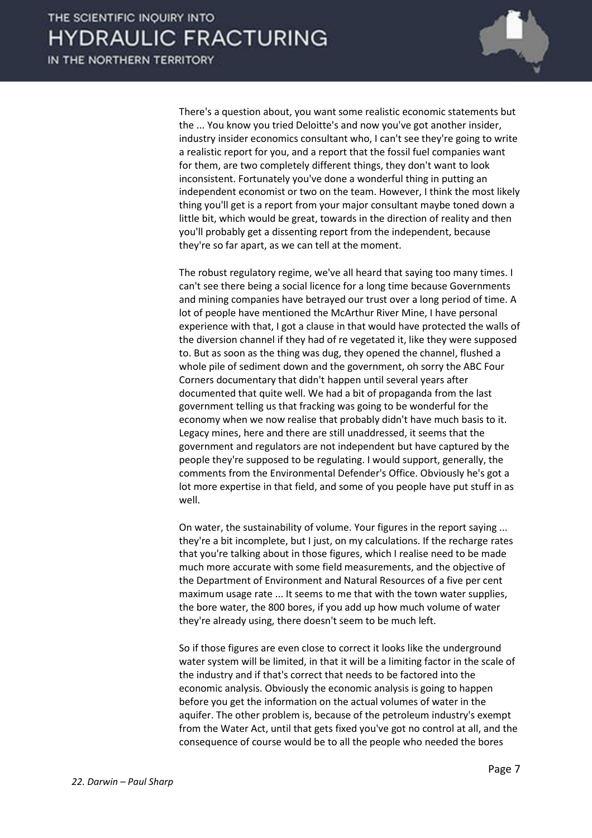

 There's a question about, you want some realistic economic statements but the ... You know you tried Deloitte's and now you've got another insider, industry insider economics consultant who, I can't see they're going to write a realistic report for you, and a report that the fossil fuel companies want for them, are two completely different things, they don't want to look inconsistent. Fortunately you've done a wonderful thing in putting an independent economist or two on the team. However, I think the most likely thing you'll get is a report from your major consultant maybe toned down a little bit, which would be great, towards in the direction of reality and then you'll probably get a dissenting report from the independent, because they're so far apart, as we can tell at the moment.

 The robust regulatory regime, we've all heard that saying too many times. I can't see there being a social licence for a long time because Governments and mining companies have betrayed our trust over a long period of time. A lot of people have mentioned the McArthur River Mine, I have personal experience with that, I got a clause in that would have protected the walls of the diversion channel if they had of re vegetated it, like they were supposed to. But as soon as the thing was dug, they opened the channel, flushed a whole pile of sediment down and the government, oh sorry the ABC Four Corners documentary that didn't happen until several years after documented that quite well. We had a bit of propaganda from the last government telling us that fracking was going to be wonderful for the economy when we now realise that probably didn't have much basis to it. Legacy mines, here and there are still unaddressed, it seems that the government and regulators are not independent but have captured by the people they're supposed to be regulating. I would support, generally, the comments from the Environmental Defender's Office. Obviously he's got a lot more expertise in that field, and some of you people have put stuff in as well.

 On water, the sustainability of volume. Your figures in the report saying ... they're a bit incomplete, but I just, on my calculations. If the recharge rates that you're talking about in those figures, which I realise need to be made much more accurate with some field measurements, and the objective of the Department of Environment and Natural Resources of a five per cent maximum usage rate ... It seems to me that with the town water supplies, the bore water, the 800 bores, if you add up how much volume of water they're already using, there doesn't seem to be much left.

 So if those figures are even close to correct it looks like the underground water system will be limited, in that it will be a limiting factor in the scale of the industry and if that's correct that needs to be factored into the economic analysis. Obviously the economic analysis is going to happen before you get the information on the actual volumes of water in the aquifer. The other problem is, because of the petroleum industry's exempt from the Water Act, until that gets fixed you've got no control at all, and the consequence of course would be to all the people who needed the bores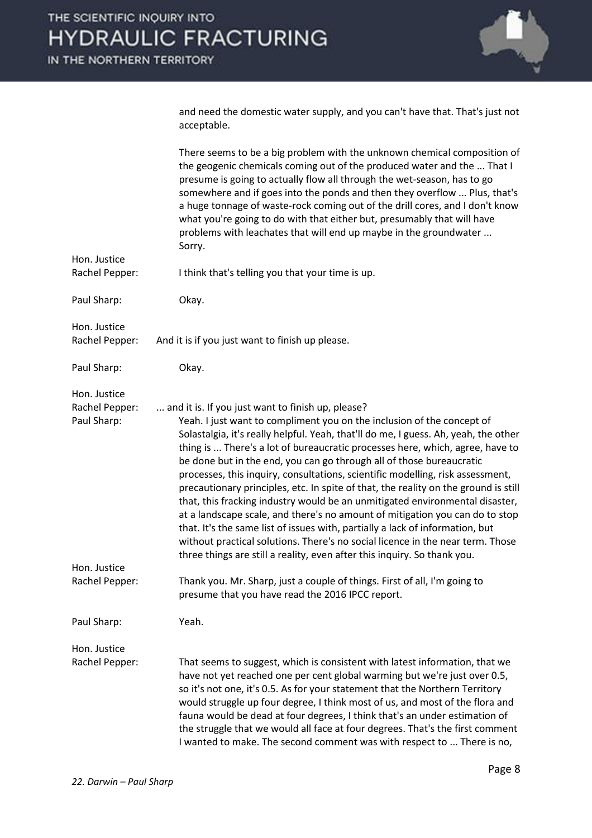

| and need the domestic water supply, and you can't have that. That's just not |  |
|------------------------------------------------------------------------------|--|
| acceptable.                                                                  |  |

|                                               | There seems to be a big problem with the unknown chemical composition of<br>the geogenic chemicals coming out of the produced water and the  That I<br>presume is going to actually flow all through the wet-season, has to go<br>somewhere and if goes into the ponds and then they overflow  Plus, that's<br>a huge tonnage of waste-rock coming out of the drill cores, and I don't know<br>what you're going to do with that either but, presumably that will have<br>problems with leachates that will end up maybe in the groundwater<br>Sorry.                                                                                                                                                                                                                                                                                                                                                                                                               |
|-----------------------------------------------|---------------------------------------------------------------------------------------------------------------------------------------------------------------------------------------------------------------------------------------------------------------------------------------------------------------------------------------------------------------------------------------------------------------------------------------------------------------------------------------------------------------------------------------------------------------------------------------------------------------------------------------------------------------------------------------------------------------------------------------------------------------------------------------------------------------------------------------------------------------------------------------------------------------------------------------------------------------------|
| Hon. Justice<br>Rachel Pepper:                | I think that's telling you that your time is up.                                                                                                                                                                                                                                                                                                                                                                                                                                                                                                                                                                                                                                                                                                                                                                                                                                                                                                                    |
| Paul Sharp:                                   | Okay.                                                                                                                                                                                                                                                                                                                                                                                                                                                                                                                                                                                                                                                                                                                                                                                                                                                                                                                                                               |
| Hon. Justice<br>Rachel Pepper:                | And it is if you just want to finish up please.                                                                                                                                                                                                                                                                                                                                                                                                                                                                                                                                                                                                                                                                                                                                                                                                                                                                                                                     |
| Paul Sharp:                                   | Okay.                                                                                                                                                                                                                                                                                                                                                                                                                                                                                                                                                                                                                                                                                                                                                                                                                                                                                                                                                               |
| Hon. Justice<br>Rachel Pepper:<br>Paul Sharp: | and it is. If you just want to finish up, please?<br>Yeah. I just want to compliment you on the inclusion of the concept of<br>Solastalgia, it's really helpful. Yeah, that'll do me, I guess. Ah, yeah, the other<br>thing is  There's a lot of bureaucratic processes here, which, agree, have to<br>be done but in the end, you can go through all of those bureaucratic<br>processes, this inquiry, consultations, scientific modelling, risk assessment,<br>precautionary principles, etc. In spite of that, the reality on the ground is still<br>that, this fracking industry would be an unmitigated environmental disaster,<br>at a landscape scale, and there's no amount of mitigation you can do to stop<br>that. It's the same list of issues with, partially a lack of information, but<br>without practical solutions. There's no social licence in the near term. Those<br>three things are still a reality, even after this inquiry. So thank you. |
| Hon. Justice<br>Rachel Pepper:                | Thank you. Mr. Sharp, just a couple of things. First of all, I'm going to<br>presume that you have read the 2016 IPCC report.                                                                                                                                                                                                                                                                                                                                                                                                                                                                                                                                                                                                                                                                                                                                                                                                                                       |
| Paul Sharp:                                   | Yeah.                                                                                                                                                                                                                                                                                                                                                                                                                                                                                                                                                                                                                                                                                                                                                                                                                                                                                                                                                               |
| Hon. Justice<br>Rachel Pepper:                | That seems to suggest, which is consistent with latest information, that we<br>have not yet reached one per cent global warming but we're just over 0.5,<br>so it's not one, it's 0.5. As for your statement that the Northern Territory<br>would struggle up four degree, I think most of us, and most of the flora and<br>fauna would be dead at four degrees, I think that's an under estimation of<br>the struggle that we would all face at four degrees. That's the first comment<br>I wanted to make. The second comment was with respect to  There is no,                                                                                                                                                                                                                                                                                                                                                                                                   |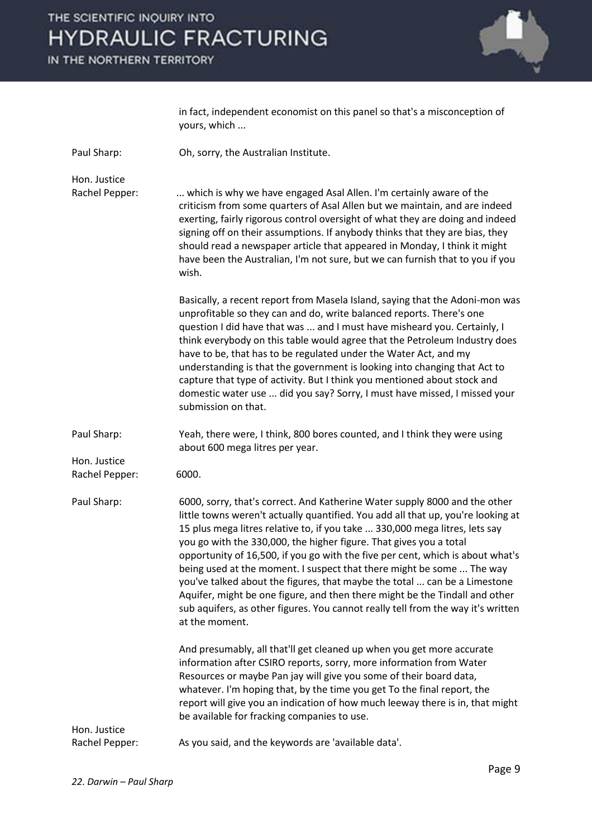IN THE NORTHERN TERRITORY



|                                | in fact, independent economist on this panel so that's a misconception of<br>yours, which                                                                                                                                                                                                                                                                                                                                                                                                                                                                                                                                                                                                                                                        |
|--------------------------------|--------------------------------------------------------------------------------------------------------------------------------------------------------------------------------------------------------------------------------------------------------------------------------------------------------------------------------------------------------------------------------------------------------------------------------------------------------------------------------------------------------------------------------------------------------------------------------------------------------------------------------------------------------------------------------------------------------------------------------------------------|
| Paul Sharp:                    | Oh, sorry, the Australian Institute.                                                                                                                                                                                                                                                                                                                                                                                                                                                                                                                                                                                                                                                                                                             |
| Hon. Justice<br>Rachel Pepper: | which is why we have engaged Asal Allen. I'm certainly aware of the<br>criticism from some quarters of Asal Allen but we maintain, and are indeed<br>exerting, fairly rigorous control oversight of what they are doing and indeed<br>signing off on their assumptions. If anybody thinks that they are bias, they<br>should read a newspaper article that appeared in Monday, I think it might<br>have been the Australian, I'm not sure, but we can furnish that to you if you<br>wish.                                                                                                                                                                                                                                                        |
|                                | Basically, a recent report from Masela Island, saying that the Adoni-mon was<br>unprofitable so they can and do, write balanced reports. There's one<br>question I did have that was  and I must have misheard you. Certainly, I<br>think everybody on this table would agree that the Petroleum Industry does<br>have to be, that has to be regulated under the Water Act, and my<br>understanding is that the government is looking into changing that Act to<br>capture that type of activity. But I think you mentioned about stock and<br>domestic water use  did you say? Sorry, I must have missed, I missed your<br>submission on that.                                                                                                  |
| Paul Sharp:                    | Yeah, there were, I think, 800 bores counted, and I think they were using<br>about 600 mega litres per year.                                                                                                                                                                                                                                                                                                                                                                                                                                                                                                                                                                                                                                     |
| Hon. Justice<br>Rachel Pepper: | 6000.                                                                                                                                                                                                                                                                                                                                                                                                                                                                                                                                                                                                                                                                                                                                            |
| Paul Sharp:                    | 6000, sorry, that's correct. And Katherine Water supply 8000 and the other<br>little towns weren't actually quantified. You add all that up, you're looking at<br>15 plus mega litres relative to, if you take  330,000 mega litres, lets say<br>you go with the 330,000, the higher figure. That gives you a total<br>opportunity of 16,500, if you go with the five per cent, which is about what's<br>being used at the moment. I suspect that there might be some  The way<br>you've talked about the figures, that maybe the total  can be a Limestone<br>Aquifer, might be one figure, and then there might be the Tindall and other<br>sub aquifers, as other figures. You cannot really tell from the way it's written<br>at the moment. |
|                                | And presumably, all that'll get cleaned up when you get more accurate<br>information after CSIRO reports, sorry, more information from Water<br>Resources or maybe Pan jay will give you some of their board data,<br>whatever. I'm hoping that, by the time you get To the final report, the<br>report will give you an indication of how much leeway there is in, that might<br>be available for fracking companies to use.                                                                                                                                                                                                                                                                                                                    |
| Hon. Justice<br>Rachel Pepper: | As you said, and the keywords are 'available data'.                                                                                                                                                                                                                                                                                                                                                                                                                                                                                                                                                                                                                                                                                              |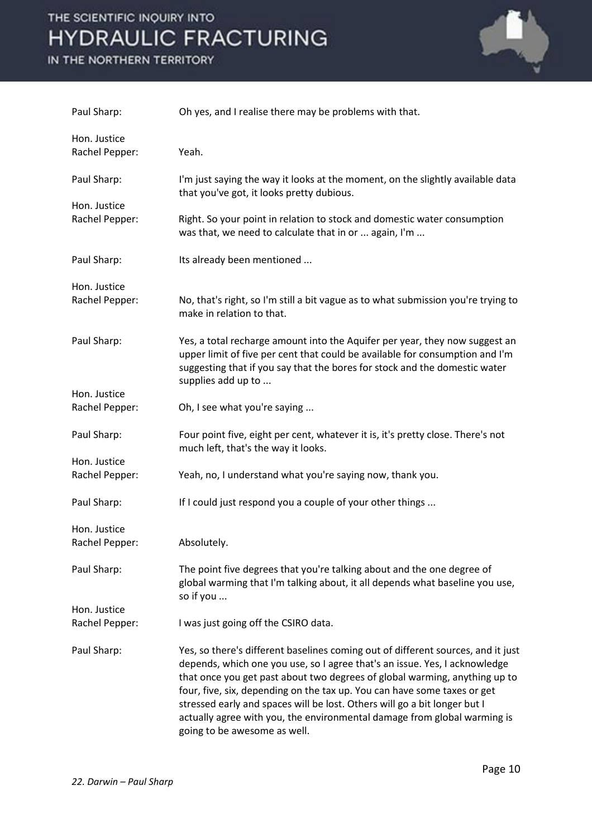IN THE NORTHERN TERRITORY



| Paul Sharp:                    | Oh yes, and I realise there may be problems with that.                                                                                                                                                                                                                                                                                                                                                                                                                                                            |
|--------------------------------|-------------------------------------------------------------------------------------------------------------------------------------------------------------------------------------------------------------------------------------------------------------------------------------------------------------------------------------------------------------------------------------------------------------------------------------------------------------------------------------------------------------------|
| Hon. Justice<br>Rachel Pepper: | Yeah.                                                                                                                                                                                                                                                                                                                                                                                                                                                                                                             |
| Paul Sharp:                    | I'm just saying the way it looks at the moment, on the slightly available data<br>that you've got, it looks pretty dubious.                                                                                                                                                                                                                                                                                                                                                                                       |
| Hon. Justice<br>Rachel Pepper: | Right. So your point in relation to stock and domestic water consumption<br>was that, we need to calculate that in or  again, I'm                                                                                                                                                                                                                                                                                                                                                                                 |
| Paul Sharp:                    | Its already been mentioned                                                                                                                                                                                                                                                                                                                                                                                                                                                                                        |
| Hon. Justice<br>Rachel Pepper: | No, that's right, so I'm still a bit vague as to what submission you're trying to<br>make in relation to that.                                                                                                                                                                                                                                                                                                                                                                                                    |
| Paul Sharp:                    | Yes, a total recharge amount into the Aquifer per year, they now suggest an<br>upper limit of five per cent that could be available for consumption and I'm<br>suggesting that if you say that the bores for stock and the domestic water<br>supplies add up to                                                                                                                                                                                                                                                   |
| Hon. Justice<br>Rachel Pepper: | Oh, I see what you're saying                                                                                                                                                                                                                                                                                                                                                                                                                                                                                      |
| Paul Sharp:                    | Four point five, eight per cent, whatever it is, it's pretty close. There's not<br>much left, that's the way it looks.                                                                                                                                                                                                                                                                                                                                                                                            |
| Hon. Justice<br>Rachel Pepper: | Yeah, no, I understand what you're saying now, thank you.                                                                                                                                                                                                                                                                                                                                                                                                                                                         |
| Paul Sharp:                    | If I could just respond you a couple of your other things                                                                                                                                                                                                                                                                                                                                                                                                                                                         |
| Hon. Justice<br>Rachel Pepper: | Absolutely.                                                                                                                                                                                                                                                                                                                                                                                                                                                                                                       |
| Paul Sharp:                    | The point five degrees that you're talking about and the one degree of<br>global warming that I'm talking about, it all depends what baseline you use,<br>so if you                                                                                                                                                                                                                                                                                                                                               |
| Hon. Justice<br>Rachel Pepper: | I was just going off the CSIRO data.                                                                                                                                                                                                                                                                                                                                                                                                                                                                              |
| Paul Sharp:                    | Yes, so there's different baselines coming out of different sources, and it just<br>depends, which one you use, so I agree that's an issue. Yes, I acknowledge<br>that once you get past about two degrees of global warming, anything up to<br>four, five, six, depending on the tax up. You can have some taxes or get<br>stressed early and spaces will be lost. Others will go a bit longer but I<br>actually agree with you, the environmental damage from global warming is<br>going to be awesome as well. |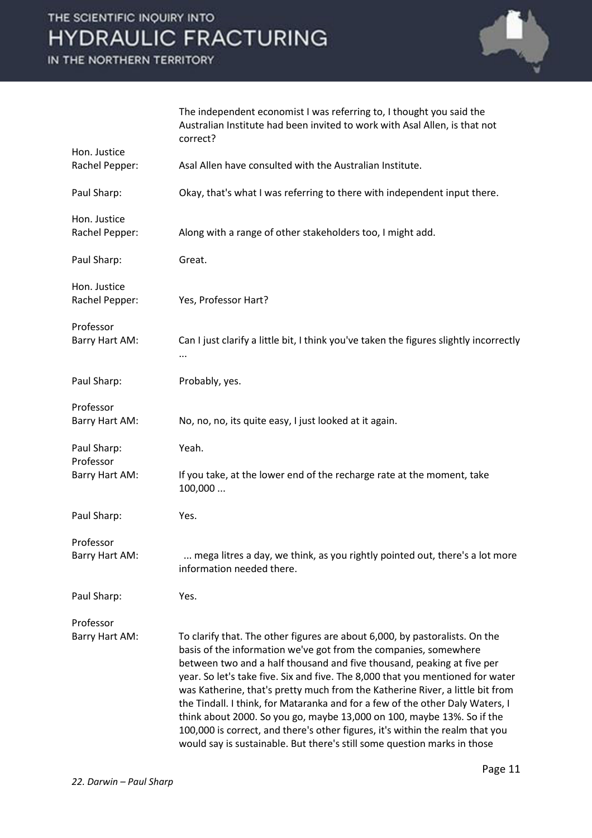IN THE NORTHERN TERRITORY



|                | The independent economist I was referring to, I thought you said the<br>Australian Institute had been invited to work with Asal Allen, is that not<br>correct? |
|----------------|----------------------------------------------------------------------------------------------------------------------------------------------------------------|
| Hon. Justice   |                                                                                                                                                                |
| Rachel Pepper: | Asal Allen have consulted with the Australian Institute.                                                                                                       |
| Paul Sharp:    | Okay, that's what I was referring to there with independent input there.                                                                                       |
| Hon. Justice   |                                                                                                                                                                |
| Rachel Pepper: | Along with a range of other stakeholders too, I might add.                                                                                                     |
| Paul Sharp:    | Great.                                                                                                                                                         |
| Hon. Justice   |                                                                                                                                                                |
| Rachel Pepper: | Yes, Professor Hart?                                                                                                                                           |
| Professor      |                                                                                                                                                                |
| Barry Hart AM: | Can I just clarify a little bit, I think you've taken the figures slightly incorrectly                                                                         |
|                |                                                                                                                                                                |
| Paul Sharp:    | Probably, yes.                                                                                                                                                 |
| Professor      |                                                                                                                                                                |
| Barry Hart AM: | No, no, no, its quite easy, I just looked at it again.                                                                                                         |
| Paul Sharp:    | Yeah.                                                                                                                                                          |
| Professor      |                                                                                                                                                                |
| Barry Hart AM: | If you take, at the lower end of the recharge rate at the moment, take<br>100,000                                                                              |
| Paul Sharp:    | Yes.                                                                                                                                                           |
| Professor      |                                                                                                                                                                |
| Barry Hart AM: | mega litres a day, we think, as you rightly pointed out, there's a lot more<br>information needed there.                                                       |
| Paul Sharp:    | Yes.                                                                                                                                                           |
| Professor      |                                                                                                                                                                |
| Barry Hart AM: | To clarify that. The other figures are about 6,000, by pastoralists. On the                                                                                    |
|                | basis of the information we've got from the companies, somewhere                                                                                               |
|                | between two and a half thousand and five thousand, peaking at five per                                                                                         |
|                | year. So let's take five. Six and five. The 8,000 that you mentioned for water                                                                                 |
|                | was Katherine, that's pretty much from the Katherine River, a little bit from                                                                                  |
|                | the Tindall. I think, for Mataranka and for a few of the other Daly Waters, I                                                                                  |
|                | think about 2000. So you go, maybe 13,000 on 100, maybe 13%. So if the<br>100,000 is correct, and there's other figures, it's within the realm that you        |
|                | would say is sustainable. But there's still some question marks in those                                                                                       |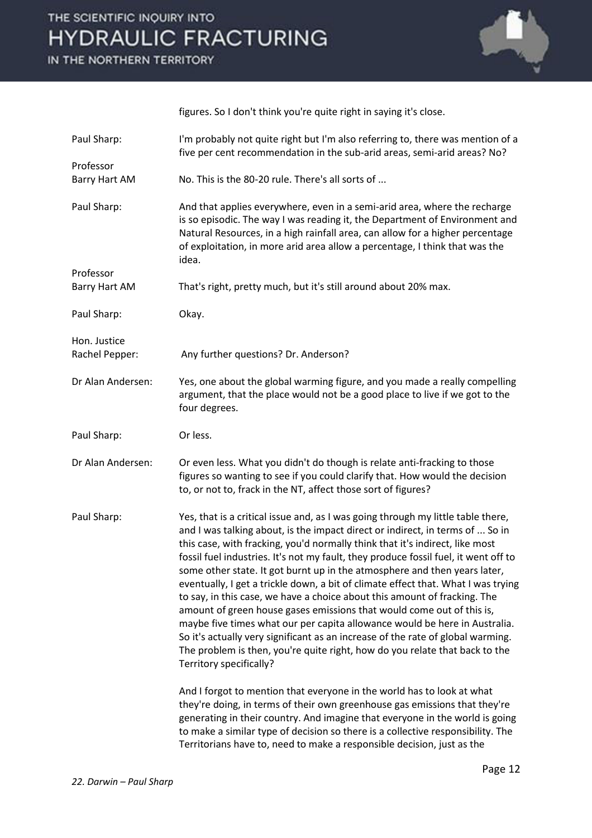IN THE NORTHERN TERRITORY



figures. So I don't think you're quite right in saying it's close. Paul Sharp: I'm probably not quite right but I'm also referring to, there was mention of a five per cent recommendation in the sub-arid areas, semi-arid areas? No? Professor Barry Hart AM No. This is the 80-20 rule. There's all sorts of ... Paul Sharp: And that applies everywhere, even in a semi-arid area, where the recharge is so episodic. The way I was reading it, the Department of Environment and Natural Resources, in a high rainfall area, can allow for a higher percentage of exploitation, in more arid area allow a percentage, I think that was the idea. Professor Barry Hart AM That's right, pretty much, but it's still around about 20% max. Paul Sharp: Okay. Hon. Justice Rachel Pepper: Any further questions? Dr. Anderson? Dr Alan Andersen: Yes, one about the global warming figure, and you made a really compelling argument, that the place would not be a good place to live if we got to the four degrees. Paul Sharp: Or less. Dr Alan Andersen: Or even less. What you didn't do though is relate anti-fracking to those figures so wanting to see if you could clarify that. How would the decision to, or not to, frack in the NT, affect those sort of figures? Paul Sharp: Yes, that is a critical issue and, as I was going through my little table there, and I was talking about, is the impact direct or indirect, in terms of ... So in this case, with fracking, you'd normally think that it's indirect, like most fossil fuel industries. It's not my fault, they produce fossil fuel, it went off to some other state. It got burnt up in the atmosphere and then years later, eventually, I get a trickle down, a bit of climate effect that. What I was trying to say, in this case, we have a choice about this amount of fracking. The amount of green house gases emissions that would come out of this is, maybe five times what our per capita allowance would be here in Australia. So it's actually very significant as an increase of the rate of global warming. The problem is then, you're quite right, how do you relate that back to the Territory specifically? And I forgot to mention that everyone in the world has to look at what they're doing, in terms of their own greenhouse gas emissions that they're generating in their country. And imagine that everyone in the world is going to make a similar type of decision so there is a collective responsibility. The

Territorians have to, need to make a responsible decision, just as the